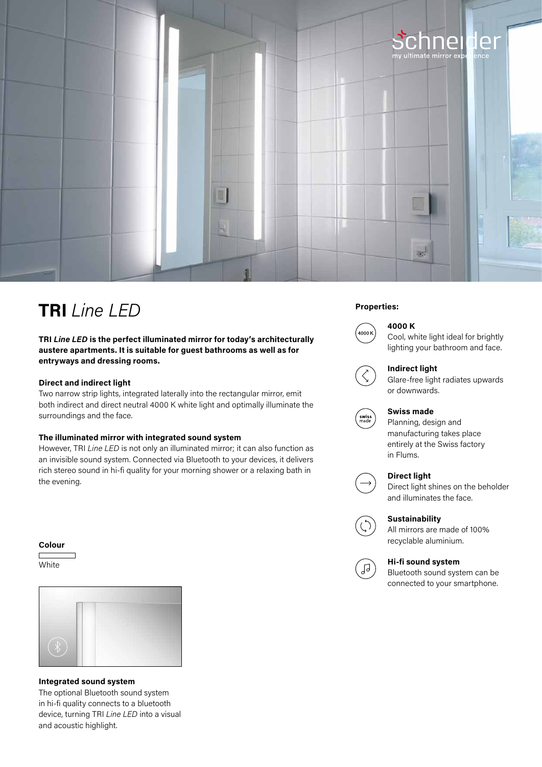

# **Properties: TRI** *Line LED*

**TRI** *Line LED* **is the perfect illuminated mirror for today's architecturally austere apartments. It is suitable for guest bathrooms as well as for entryways and dressing rooms.**

# **Direct and indirect light**

Two narrow strip lights, integrated laterally into the rectangular mirror, emit both indirect and direct neutral 4000 K white light and optimally illuminate the surroundings and the face.

# **The illuminated mirror with integrated sound system**

However, TRI *Line LED* is not only an illuminated mirror; it can also function as an invisible sound system. Connected via Bluetooth to your devices, it delivers rich stereo sound in hi-fi quality for your morning shower or a relaxing bath in the evening.

### **Colour**

**White** 



**Integrated sound system** The optional Bluetooth sound system in hi-fi quality connects to a bluetooth device, turning TRI *Line LED* into a visual and acoustic highlight.



# **4000 K**

Cool, white light ideal for brightly lighting your bathroom and face.



#### **Indirect light**

Glare-free light radiates upwards or downwards.



# **Swiss made**

Planning, design and manufacturing takes place entirely at the Swiss factory in Flums.

# **Direct light**



Direct light shines on the beholder and illuminates the face.

# **Sustainability**

All mirrors are made of 100% recyclable aluminium.



#### **Hi-fi sound system**

Bluetooth sound system can be connected to your smartphone.